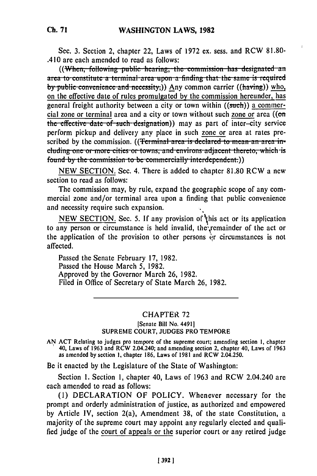Sec. 3. Section 2, chapter 22, Laws of 1972 ex. sess. and RCW 81.80-.410 are each amended to read as follows:

t.

((When, following public hearing, the commission has designated an area to constitute a terminal-area upon a finding that the same is required by public convenience and necessity;)) Any common carrier ((having)) who, on the effective date of rules promulgated by the commission hereunder, has general freight authority between a city or town within ((such)) a commercial zone or terminal area and a city or town without such zone or area ( $($ on the effective date of such designation)) may as part of inter-city service perform pickup and delivery any place in such zone or area at rates prescribed by the commission. ((Terminal area is declared to mean an area including one or more cities or towns, and environs adjacent thereto, which is found by the commission to be commercially interdependent.))

NEW SECTION. Sec. 4. There is added to chapter 81.80 RCW a new section to read as follows:

The commission may, by rule, expand the geographic scope of any commercial zone and/or terminal area upon a finding that public convenience and necessity require such expansion.

NEW SECTION. Sec. 5. If any provision of this act or its application to any person or circumstance is held invalid, the remainder of the act or the application of the provision to other persons or circumstances is not affected.

Passed the Senate February 17, 1982. Passed the House March 5, 1982. Approved by the Governor March 26, 1982. Filed in Office of Secretary of State March 26, 1982.

## **CHAPTER 72**

## [Senate Bill No. 4491] SUPREME COURT, JUDGES PRO TEMPORE

AN ACT Relating to judges pro tempore of the supreme court; amending section 1, chapter 40, Laws of 1963 and RCW 2.04.240; and amending section 2, chapter 40, Laws of 1963 as amended by section 1, chapter 186, Laws of 1981 and RCW 2.04.250.

Be it enacted by the Legislature of the State of Washington:

Section 1. Section 1, chapter 40, Laws of 1963 and RCW 2.04.240 are each amended to read as follows:

(1) DECLARATION OF POLICY. Whenever necessary for the prompt and orderly administration of justice, as authorized and empowered by Article IV, section 2(a), Amendment 38, of the state Constitution, a majority of the supreme court may appoint any regularly elected and qualified judge of the court of appeals or the superior court or any retired judge